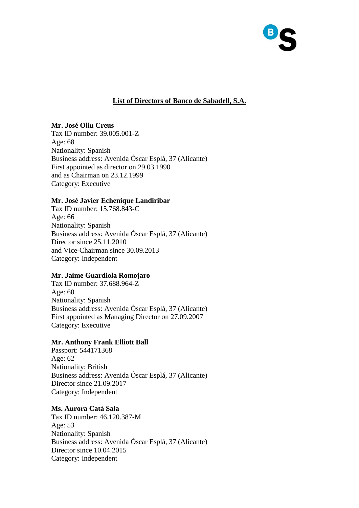

# **List of Directors of Banco de Sabadell, S.A.**

# **Mr. José Oliu Creus**

Tax ID number: 39.005.001-Z Age: 68 Nationality: Spanish Business address: Avenida Óscar Esplá, 37 (Alicante) First appointed as director on 29.03.1990 and as Chairman on 23.12.1999 Category: Executive

## **Mr. José Javier Echenique Landiribar**

Tax ID number: 15.768.843-C Age: 66 Nationality: Spanish Business address: Avenida Óscar Esplá, 37 (Alicante) Director since 25.11.2010 and Vice-Chairman since 30.09.2013 Category: Independent

# **Mr. Jaime Guardiola Romojaro**

Tax ID number: 37.688.964-Z Age: 60 Nationality: Spanish Business address: Avenida Óscar Esplá, 37 (Alicante) First appointed as Managing Director on 27.09.2007 Category: Executive

### **Mr. Anthony Frank Elliott Ball**

Passport: 544171368 Age: 62 Nationality: British Business address: Avenida Óscar Esplá, 37 (Alicante) Director since 21.09.2017 Category: Independent

### **Ms. Aurora Catá Sala**

Tax ID number: 46.120.387-M Age: 53 Nationality: Spanish Business address: Avenida Óscar Esplá, 37 (Alicante) Director since 10.04.2015 Category: Independent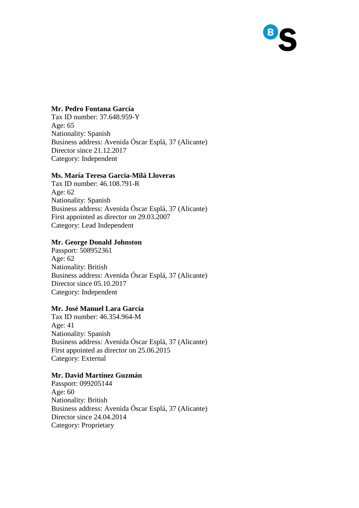

## **Mr. Pedro Fontana García**

Tax ID number: 37.648.959-Y Age: 65 Nationality: Spanish Business address: Avenida Óscar Esplá, 37 (Alicante) Director since 21.12.2017 Category: Independent

### **Ms. María Teresa García-Milá Lloveras**

Tax ID number: 46.108.791-R Age: 62 Nationality: Spanish Business address: Avenida Óscar Esplá, 37 (Alicante) First appointed as director on 29.03.2007 Category: Lead Independent

# **Mr. George Donald Johnston**

Passport: 508952361 Age: 62 Nationality: British Business address: Avenida Óscar Esplá, 37 (Alicante) Director since 05.10.2017 Category: Independent

## **Mr. José Manuel Lara García**

Tax ID number: 46.354.964-M Age: 41 Nationality: Spanish Business address: Avenida Óscar Esplá, 37 (Alicante) First appointed as director on 25.06.2015 Category: External

## **Mr. David Martínez Guzmán**

Passport: 099205144 Age: 60 Nationality: British Business address: Avenida Óscar Esplá, 37 (Alicante) Director since 24.04.2014 Category: Proprietary